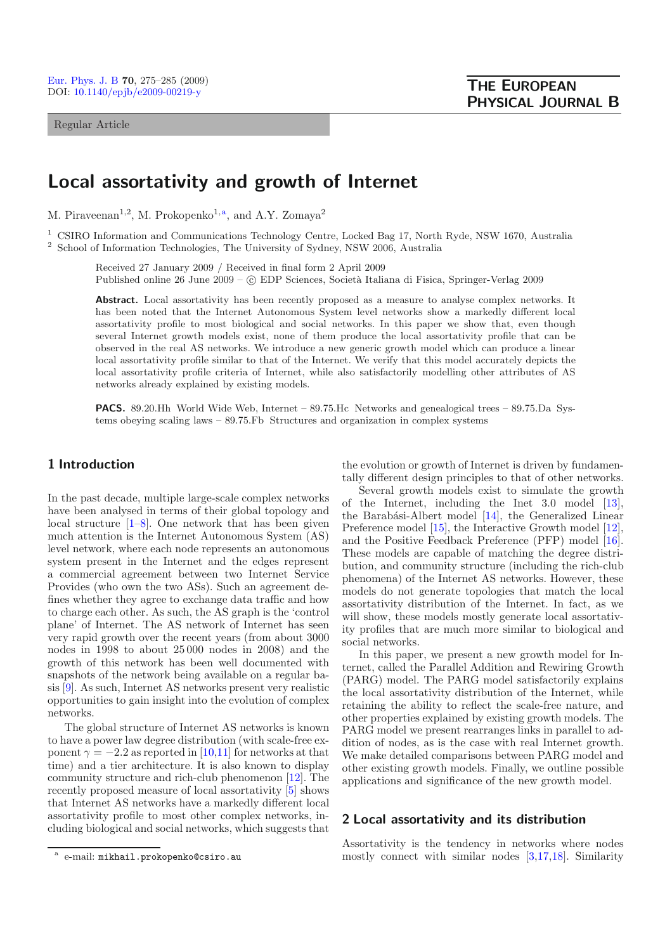#### Regular Article

# **Local assortativity and growth of Internet**

M. Piraveenan<sup>1,2</sup>, M. Prokopenko<sup>1,a</sup>, and A.Y. Zomaya<sup>2</sup>

<sup>1</sup> CSIRO Information and Communications Technology Centre, Locked Bag 17, North Ryde, NSW 1670, Australia <sup>2</sup> School of Information Technologies, The University of Sydney, NSW 2006, Australia

Received 27 January 2009 / Received in final form 2 April 2009 Published online 26 June 2009 – © EDP Sciences, Società Italiana di Fisica, Springer-Verlag 2009

Abstract. Local assortativity has been recently proposed as a measure to analyse complex networks. It has been noted that the Internet Autonomous System level networks show a markedly different local assortativity profile to most biological and social networks. In this paper we show that, even though several Internet growth models exist, none of them produce the local assortativity profile that can be observed in the real AS networks. We introduce a new generic growth model which can produce a linear local assortativity profile similar to that of the Internet. We verify that this model accurately depicts the local assortativity profile criteria of Internet, while also satisfactorily modelling other attributes of AS networks already explained by existing models.

**PACS.** 89.20.Hh World Wide Web, Internet – 89.75.Hc Networks and genealogical trees – 89.75.Da Systems obeying scaling laws  $-89.75.Fb$  Structures and organization in complex systems

# **1 Introduction**

In the past decade, multiple large-scale complex networks have been analysed in terms of their global topology and local structure  $[1-8]$  $[1-8]$ . One network that has been given much attention is the Internet Autonomous System (AS) level network, where each node represents an autonomous system present in the Internet and the edges represent a commercial agreement between two Internet Service Provides (who own the two ASs). Such an agreement defines whether they agree to exchange data traffic and how to charge each other. As such, the AS graph is the 'control plane' of Internet. The AS network of Internet has seen very rapid growth over the recent years (from about 3000 nodes in 1998 to about 25 000 nodes in 2008) and the growth of this network has been well documented with snapshots of the network being available on a regular basis [\[9\]](#page-10-2). As such, Internet AS networks present very realistic opportunities to gain insight into the evolution of complex networks.

The global structure of Internet AS networks is known to have a power law degree distribution (with scale-free exponent  $\gamma = -2.2$  as reported in [\[10](#page-10-3)[,11](#page-10-4)] for networks at that time) and a tier architecture. It is also known to display community structure and rich-club phenomenon [\[12\]](#page-10-5). The recently proposed measure of local assortativity [\[5](#page-10-6)] shows that Internet AS networks have a markedly different local assortativity profile to most other complex networks, including biological and social networks, which suggests that the evolution or growth of Internet is driven by fundamentally different design principles to that of other networks.

Several growth models exist to simulate the growth of the Internet, including the Inet 3.0 model [\[13\]](#page-10-7), the Barabási-Albert model  $[14]$ , the Generalized Linear Preference model [\[15](#page-10-9)], the Interactive Growth model [\[12\]](#page-10-5), and the Positive Feedback Preference (PFP) model [\[16\]](#page-10-10). These models are capable of matching the degree distribution, and community structure (including the rich-club phenomena) of the Internet AS networks. However, these models do not generate topologies that match the local assortativity distribution of the Internet. In fact, as we will show, these models mostly generate local assortativity profiles that are much more similar to biological and social networks.

In this paper, we present a new growth model for Internet, called the Parallel Addition and Rewiring Growth (PARG) model. The PARG model satisfactorily explains the local assortativity distribution of the Internet, while retaining the ability to reflect the scale-free nature, and other properties explained by existing growth models. The PARG model we present rearranges links in parallel to addition of nodes, as is the case with real Internet growth. We make detailed comparisons between PARG model and other existing growth models. Finally, we outline possible applications and significance of the new growth model.

### **2 Local assortativity and its distribution**

Assortativity is the tendency in networks where nodes mostly connect with similar nodes [\[3](#page-10-11)[,17](#page-10-12)[,18\]](#page-10-13). Similarity

e-mail: mikhail.prokopenko@csiro.au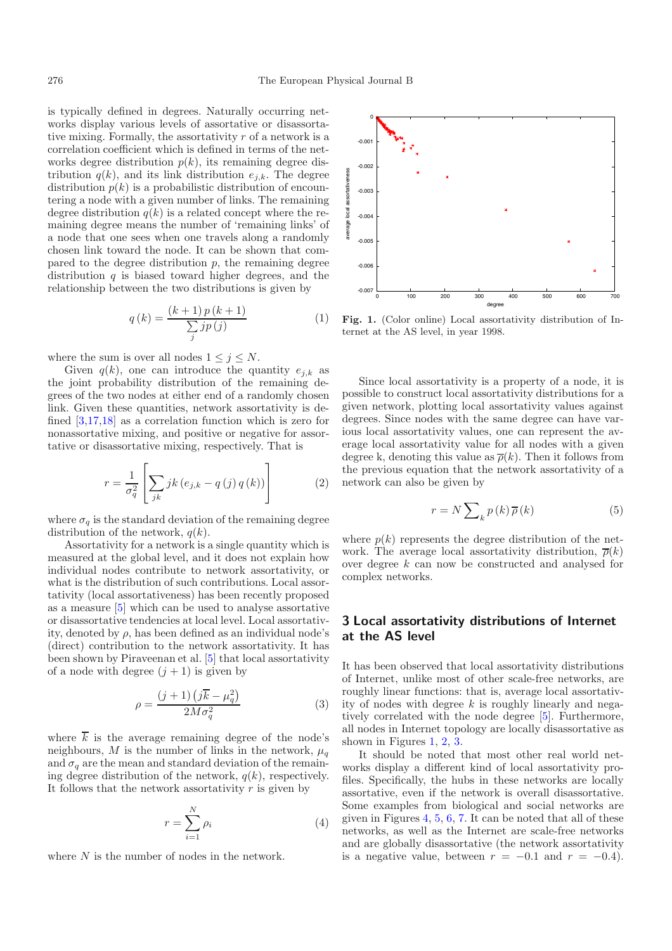is typically defined in degrees. Naturally occurring networks display various levels of assortative or disassortative mixing. Formally, the assortativity  $r$  of a network is a correlation coefficient which is defined in terms of the networks degree distribution  $p(k)$ , its remaining degree distribution  $q(k)$ , and its link distribution  $e_{j,k}$ . The degree distribution  $p(k)$  is a probabilistic distribution of encountering a node with a given number of links. The remaining degree distribution  $q(k)$  is a related concept where the remaining degree means the number of 'remaining links' of a node that one sees when one travels along a randomly chosen link toward the node. It can be shown that compared to the degree distribution  $p$ , the remaining degree distribution  $q$  is biased toward higher degrees, and the relationship between the two distributions is given by

$$
q(k) = \frac{(k+1) p (k+1)}{\sum_{j} j p(j)}
$$
 (1)

where the sum is over all nodes  $1 \leq j \leq N$ .

Given  $q(k)$ , one can introduce the quantity  $e_{ik}$  as the joint probability distribution of the remaining degrees of the two nodes at either end of a randomly chosen link. Given these quantities, network assortativity is defined [\[3](#page-10-11)[,17](#page-10-12)[,18](#page-10-13)] as a correlation function which is zero for nonassortative mixing, and positive or negative for assortative or disassortative mixing, respectively. That is

$$
r = \frac{1}{\sigma_q^2} \left[ \sum_{jk} jk \left( e_{j,k} - q(j) q(k) \right) \right]
$$
 (2)

where  $\sigma_q$  is the standard deviation of the remaining degree distribution of the network,  $q(k)$ .

Assortativity for a network is a single quantity which is measured at the global level, and it does not explain how individual nodes contribute to network assortativity, or what is the distribution of such contributions. Local assortativity (local assortativeness) has been recently proposed as a measure [\[5\]](#page-10-6) which can be used to analyse assortative or disassortative tendencies at local level. Local assortativity, denoted by  $\rho$ , has been defined as an individual node's (direct) contribution to the network assortativity. It has been shown by Piraveenan et al. [\[5\]](#page-10-6) that local assortativity of a node with degree  $(j + 1)$  is given by

$$
\rho = \frac{(j+1)\left(j\overline{k} - \mu_q^2\right)}{2M\sigma_q^2} \tag{3}
$$

where  $\overline{k}$  is the average remaining degree of the node's neighbours, M is the number of links in the network,  $\mu_q$ and  $\sigma_a$  are the mean and standard deviation of the remaining degree distribution of the network,  $q(k)$ , respectively. It follows that the network assortativity  $r$  is given by

$$
r = \sum_{i=1}^{N} \rho_i \tag{4}
$$

where N is the number of nodes in the network.

<span id="page-1-0"></span>

**Fig. 1.** (Color online) Local assortativity distribution of Internet at the AS level, in year 1998.

Since local assortativity is a property of a node, it is possible to construct local assortativity distributions for a given network, plotting local assortativity values against degrees. Since nodes with the same degree can have various local assortativity values, one can represent the average local assortativity value for all nodes with a given degree k, denoting this value as  $\overline{\rho}(k)$ . Then it follows from the previous equation that the network assortativity of a network can also be given by

$$
r = N \sum_{k} p(k) \overline{\rho}(k)
$$
 (5)

where  $p(k)$  represents the degree distribution of the network. The average local assortativity distribution,  $\overline{\rho}(k)$ over degree k can now be constructed and analysed for complex networks.

## **3 Local assortativity distributions of Internet at the AS level**

It has been observed that local assortativity distributions of Internet, unlike most of other scale-free networks, are roughly linear functions: that is, average local assortativity of nodes with degree  $k$  is roughly linearly and negatively correlated with the node degree [\[5](#page-10-6)]. Furthermore, all nodes in Internet topology are locally disassortative as shown in Figures [1,](#page-1-0) [2,](#page-2-0) [3.](#page-2-1)

It should be noted that most other real world networks display a different kind of local assortativity profiles. Specifically, the hubs in these networks are locally assortative, even if the network is overall disassortative. Some examples from biological and social networks are given in Figures [4,](#page-2-2) [5,](#page-2-3) [6,](#page-2-4) [7.](#page-2-5) It can be noted that all of these networks, as well as the Internet are scale-free networks and are globally disassortative (the network assortativity is a negative value, between  $r = -0.1$  and  $r = -0.4$ ).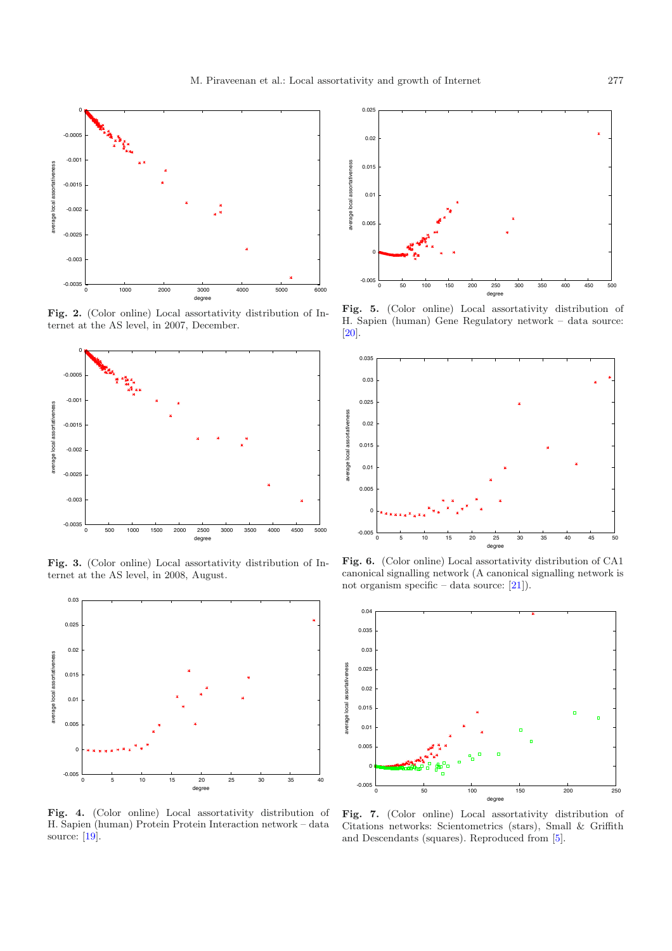<span id="page-2-0"></span>

**Fig. 2.** (Color online) Local assortativity distribution of Internet at the AS level, in 2007, December.

<span id="page-2-1"></span>

**Fig. 3.** (Color online) Local assortativity distribution of Internet at the AS level, in 2008, August.

<span id="page-2-2"></span>

**Fig. 4.** (Color online) Local assortativity distribution of H. Sapien (human) Protein Protein Interaction network – data source: [\[19\]](#page-10-14).

<span id="page-2-3"></span>

**Fig. 5.** (Color online) Local assortativity distribution of H. Sapien (human) Gene Regulatory network – data source: [\[20\]](#page-10-15).

<span id="page-2-4"></span>

**Fig. 6.** (Color online) Local assortativity distribution of CA1 canonical signalling network (A canonical signalling network is not organism specific – data source:  $[21]$ ).

<span id="page-2-5"></span>

**Fig. 7.** (Color online) Local assortativity distribution of Citations networks: Scientometrics (stars), Small & Griffith and Descendants (squares). Reproduced from [\[5](#page-10-6)].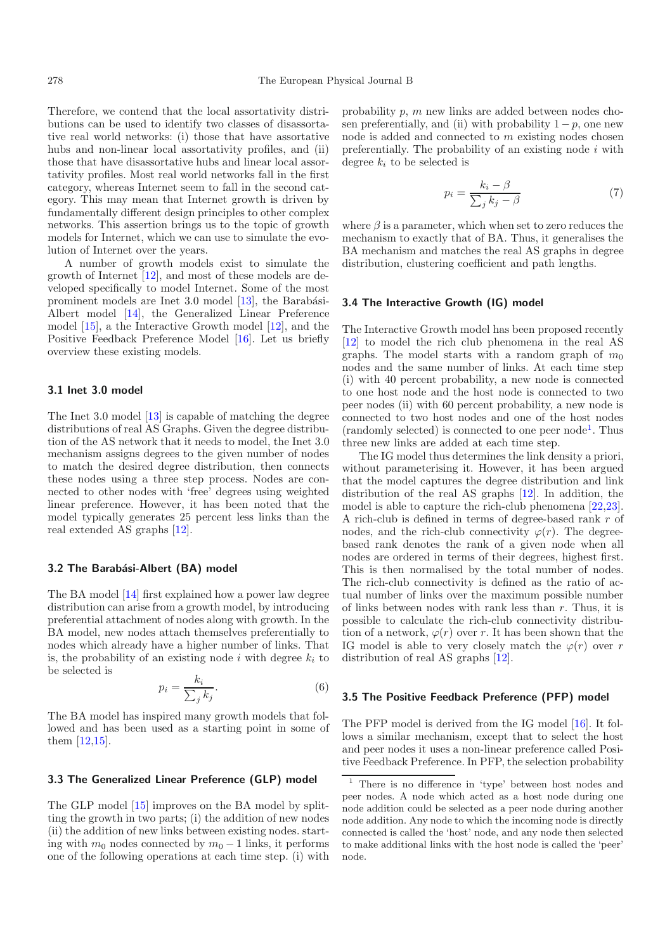Therefore, we contend that the local assortativity distributions can be used to identify two classes of disassortative real world networks: (i) those that have assortative hubs and non-linear local assortativity profiles, and (ii) those that have disassortative hubs and linear local assortativity profiles. Most real world networks fall in the first category, whereas Internet seem to fall in the second category. This may mean that Internet growth is driven by fundamentally different design principles to other complex networks. This assertion brings us to the topic of growth models for Internet, which we can use to simulate the evolution of Internet over the years.

A number of growth models exist to simulate the growth of Internet [\[12](#page-10-5)], and most of these models are developed specifically to model Internet. Some of the most prominent models are Inet  $3.0$  model  $[13]$ , the Barabási-Albert model [\[14](#page-10-8)], the Generalized Linear Preference model [\[15\]](#page-10-9), a the Interactive Growth model [\[12](#page-10-5)], and the Positive Feedback Preference Model [\[16](#page-10-10)]. Let us briefly overview these existing models.

### **3.1 Inet 3.0 model**

The Inet 3.0 model [\[13\]](#page-10-7) is capable of matching the degree distributions of real AS Graphs. Given the degree distribution of the AS network that it needs to model, the Inet 3.0 mechanism assigns degrees to the given number of nodes to match the desired degree distribution, then connects these nodes using a three step process. Nodes are connected to other nodes with 'free' degrees using weighted linear preference. However, it has been noted that the model typically generates 25 percent less links than the real extended AS graphs [\[12](#page-10-5)].

#### **3.2 The Barabási-Albert (BA) model**

The BA model [\[14\]](#page-10-8) first explained how a power law degree distribution can arise from a growth model, by introducing preferential attachment of nodes along with growth. In the BA model, new nodes attach themselves preferentially to nodes which already have a higher number of links. That is, the probability of an existing node i with degree  $k_i$  to be selected is

$$
p_i = \frac{k_i}{\sum_j k_j}.\tag{6}
$$

The BA model has inspired many growth models that followed and has been used as a starting point in some of them [\[12](#page-10-5)[,15](#page-10-9)].

#### **3.3 The Generalized Linear Preference (GLP) model**

The GLP model  $[15]$  $[15]$  improves on the BA model by splitting the growth in two parts; (i) the addition of new nodes (ii) the addition of new links between existing nodes. starting with  $m_0$  nodes connected by  $m_0 - 1$  links, it performs one of the following operations at each time step. (i) with

probability p, m new links are added between nodes chosen preferentially, and (ii) with probability  $1 - p$ , one new node is added and connected to m existing nodes chosen preferentially. The probability of an existing node  $i$  with degree  $k_i$  to be selected is

$$
p_i = \frac{k_i - \beta}{\sum_j k_j - \beta} \tag{7}
$$

where  $\beta$  is a parameter, which when set to zero reduces the mechanism to exactly that of BA. Thus, it generalises the BA mechanism and matches the real AS graphs in degree distribution, clustering coefficient and path lengths.

#### **3.4 The Interactive Growth (IG) model**

The Interactive Growth model has been proposed recently [\[12\]](#page-10-5) to model the rich club phenomena in the real AS graphs. The model starts with a random graph of  $m_0$ nodes and the same number of links. At each time step (i) with 40 percent probability, a new node is connected to one host node and the host node is connected to two peer nodes (ii) with 60 percent probability, a new node is connected to two host nodes and one of the host nodes  $(randomly selected)$  is connected to one peer node<sup>[1](#page-3-0)</sup>. Thus three new links are added at each time step.

The IG model thus determines the link density a priori, without parameterising it. However, it has been argued that the model captures the degree distribution and link distribution of the real AS graphs [\[12](#page-10-5)]. In addition, the model is able to capture the rich-club phenomena [\[22](#page-10-17)[,23\]](#page-10-18). A rich-club is defined in terms of degree-based rank r of nodes, and the rich-club connectivity  $\varphi(r)$ . The degreebased rank denotes the rank of a given node when all nodes are ordered in terms of their degrees, highest first. This is then normalised by the total number of nodes. The rich-club connectivity is defined as the ratio of actual number of links over the maximum possible number of links between nodes with rank less than r. Thus, it is possible to calculate the rich-club connectivity distribution of a network,  $\varphi(r)$  over r. It has been shown that the IG model is able to very closely match the  $\varphi(r)$  over r distribution of real AS graphs [\[12](#page-10-5)].

#### <span id="page-3-0"></span>**3.5 The Positive Feedback Preference (PFP) model**

The PFP model is derived from the IG model [\[16\]](#page-10-10). It follows a similar mechanism, except that to select the host and peer nodes it uses a non-linear preference called Positive Feedback Preference. In PFP, the selection probability

<sup>1</sup> There is no difference in 'type' between host nodes and peer nodes. A node which acted as a host node during one node addition could be selected as a peer node during another node addition. Any node to which the incoming node is directly connected is called the 'host' node, and any node then selected to make additional links with the host node is called the 'peer' node.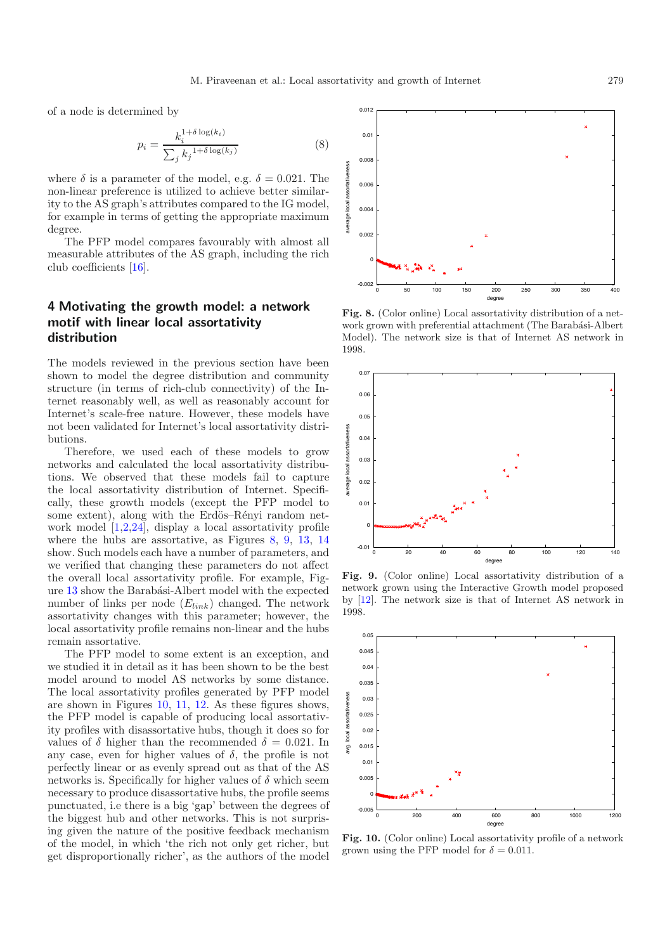of a node is determined by

$$
p_i = \frac{k_i^{1+\delta \log(k_i)}}{\sum_j k_j^{-1+\delta \log(k_j)}}
$$
\n(8)

where  $\delta$  is a parameter of the model, e.g.  $\delta = 0.021$ . The non-linear preference is utilized to achieve better similarity to the AS graph's attributes compared to the IG model, for example in terms of getting the appropriate maximum degree.

The PFP model compares favourably with almost all measurable attributes of the AS graph, including the rich club coefficients [\[16\]](#page-10-10).

# **4 Motivating the growth model: a network motif with linear local assortativity distribution**

The models reviewed in the previous section have been shown to model the degree distribution and community structure (in terms of rich-club connectivity) of the Internet reasonably well, as well as reasonably account for Internet's scale-free nature. However, these models have not been validated for Internet's local assortativity distributions.

Therefore, we used each of these models to grow networks and calculated the local assortativity distributions. We observed that these models fail to capture the local assortativity distribution of Internet. Specifically, these growth models (except the PFP model to some extent), along with the Erdös–Rényi random network model [\[1](#page-10-0)[,2](#page-10-19)[,24\]](#page-10-20), display a local assortativity profile where the hubs are assortative, as Figures [8,](#page-4-0) [9,](#page-4-1) [13,](#page-5-0) [14](#page-5-1) show. Such models each have a number of parameters, and we verified that changing these parameters do not affect the overall local assortativity profile. For example, Fig-ure [13](#page-5-0) show the Barabási-Albert model with the expected number of links per node  $(E_{link})$  changed. The network assortativity changes with this parameter; however, the local assortativity profile remains non-linear and the hubs remain assortative.

The PFP model to some extent is an exception, and we studied it in detail as it has been shown to be the best model around to model AS networks by some distance. The local assortativity profiles generated by PFP model are shown in Figures [10,](#page-4-2) [11,](#page-5-2) [12.](#page-5-3) As these figures shows, the PFP model is capable of producing local assortativity profiles with disassortative hubs, though it does so for values of  $\delta$  higher than the recommended  $\delta = 0.021$ . In any case, even for higher values of  $\delta$ , the profile is not perfectly linear or as evenly spread out as that of the AS networks is. Specifically for higher values of  $\delta$  which seem necessary to produce disassortative hubs, the profile seems punctuated, i.e there is a big 'gap' between the degrees of the biggest hub and other networks. This is not surprising given the nature of the positive feedback mechanism of the model, in which 'the rich not only get richer, but get disproportionally richer', as the authors of the model

<span id="page-4-0"></span>

**Fig. 8.** (Color online) Local assortativity distribution of a network grown with preferential attachment (The Barabási-Albert Model). The network size is that of Internet AS network in 1998.

<span id="page-4-1"></span>

**Fig. 9.** (Color online) Local assortativity distribution of a network grown using the Interactive Growth model proposed by [\[12](#page-10-5)]. The network size is that of Internet AS network in 1998.

<span id="page-4-2"></span>

**Fig. 10.** (Color online) Local assortativity profile of a network grown using the PFP model for  $\delta = 0.011$ .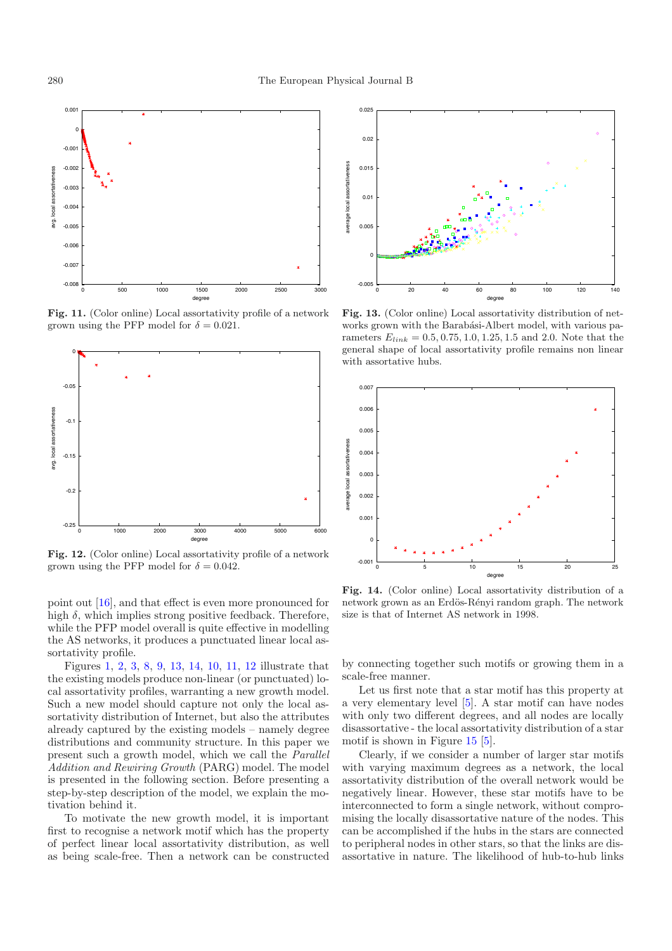<span id="page-5-2"></span>

**Fig. 11.** (Color online) Local assortativity profile of a network grown using the PFP model for  $\delta = 0.021$ .

<span id="page-5-3"></span>

**Fig. 12.** (Color online) Local assortativity profile of a network grown using the PFP model for  $\delta = 0.042$ .

point out [\[16](#page-10-10)], and that effect is even more pronounced for high  $\delta$ , which implies strong positive feedback. Therefore, while the PFP model overall is quite effective in modelling the AS networks, it produces a punctuated linear local assortativity profile.

Figures [1,](#page-1-0) [2,](#page-2-0) [3,](#page-2-1) [8,](#page-4-0) [9,](#page-4-1) [13,](#page-5-0) [14,](#page-5-1) [10,](#page-4-2) [11,](#page-5-2) [12](#page-5-3) illustrate that the existing models produce non-linear (or punctuated) local assortativity profiles, warranting a new growth model. Such a new model should capture not only the local assortativity distribution of Internet, but also the attributes already captured by the existing models – namely degree distributions and community structure. In this paper we present such a growth model, which we call the *Parallel Addition and Rewiring Growth* (PARG) model. The model is presented in the following section. Before presenting a step-by-step description of the model, we explain the motivation behind it.

To motivate the new growth model, it is important first to recognise a network motif which has the property of perfect linear local assortativity distribution, as well as being scale-free. Then a network can be constructed

<span id="page-5-0"></span>

**Fig. 13.** (Color online) Local assortativity distribution of networks grown with the Barabási-Albert model, with various parameters  $E_{link} = 0.5, 0.75, 1.0, 1.25, 1.5$  and 2.0. Note that the general shape of local assortativity profile remains non linear with assortative hubs.

<span id="page-5-1"></span>

**Fig. 14.** (Color online) Local assortativity distribution of a network grown as an Erdös-Rényi random graph. The network size is that of Internet AS network in 1998.

by connecting together such motifs or growing them in a scale-free manner.

Let us first note that a star motif has this property at a very elementary level [\[5\]](#page-10-6). A star motif can have nodes with only two different degrees, and all nodes are locally disassortative - the local assortativity distribution of a star motif is shown in Figure [15](#page-6-0) [\[5](#page-10-6)].

Clearly, if we consider a number of larger star motifs with varying maximum degrees as a network, the local assortativity distribution of the overall network would be negatively linear. However, these star motifs have to be interconnected to form a single network, without compromising the locally disassortative nature of the nodes. This can be accomplished if the hubs in the stars are connected to peripheral nodes in other stars, so that the links are disassortative in nature. The likelihood of hub-to-hub links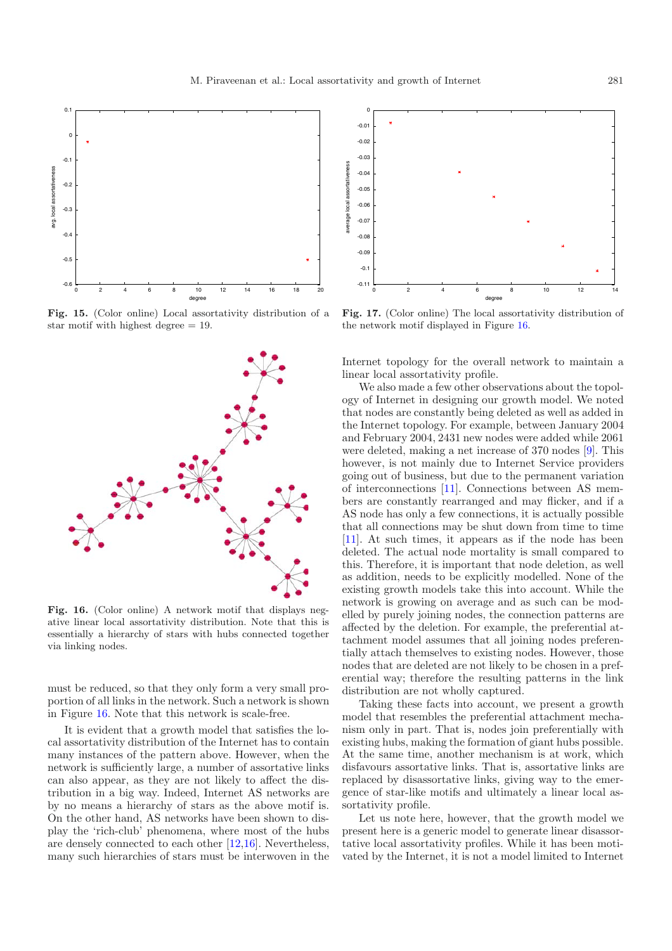<span id="page-6-0"></span>

**Fig. 15.** (Color online) Local assortativity distribution of a star motif with highest degree = 19.

<span id="page-6-1"></span>

**Fig. 16.** (Color online) A network motif that displays negative linear local assortativity distribution. Note that this is essentially a hierarchy of stars with hubs connected together via linking nodes.

must be reduced, so that they only form a very small proportion of all links in the network. Such a network is shown in Figure [16.](#page-6-1) Note that this network is scale-free.

It is evident that a growth model that satisfies the local assortativity distribution of the Internet has to contain many instances of the pattern above. However, when the network is sufficiently large, a number of assortative links can also appear, as they are not likely to affect the distribution in a big way. Indeed, Internet AS networks are by no means a hierarchy of stars as the above motif is. On the other hand, AS networks have been shown to display the 'rich-club' phenomena, where most of the hubs are densely connected to each other [\[12](#page-10-5)[,16\]](#page-10-10). Nevertheless, many such hierarchies of stars must be interwoven in the



**Fig. 17.** (Color online) The local assortativity distribution of the network motif displayed in Figure [16.](#page-6-1)

Internet topology for the overall network to maintain a linear local assortativity profile.

We also made a few other observations about the topology of Internet in designing our growth model. We noted that nodes are constantly being deleted as well as added in the Internet topology. For example, between January 2004 and February 2004, 2431 new nodes were added while 2061 were deleted, making a net increase of 370 nodes [\[9](#page-10-2)]. This however, is not mainly due to Internet Service providers going out of business, but due to the permanent variation of interconnections [\[11](#page-10-4)]. Connections between AS members are constantly rearranged and may flicker, and if a AS node has only a few connections, it is actually possible that all connections may be shut down from time to time [\[11\]](#page-10-4). At such times, it appears as if the node has been deleted. The actual node mortality is small compared to this. Therefore, it is important that node deletion, as well as addition, needs to be explicitly modelled. None of the existing growth models take this into account. While the network is growing on average and as such can be modelled by purely joining nodes, the connection patterns are affected by the deletion. For example, the preferential attachment model assumes that all joining nodes preferentially attach themselves to existing nodes. However, those nodes that are deleted are not likely to be chosen in a preferential way; therefore the resulting patterns in the link distribution are not wholly captured.

Taking these facts into account, we present a growth model that resembles the preferential attachment mechanism only in part. That is, nodes join preferentially with existing hubs, making the formation of giant hubs possible. At the same time, another mechanism is at work, which disfavours assortative links. That is, assortative links are replaced by disassortative links, giving way to the emergence of star-like motifs and ultimately a linear local assortativity profile.

Let us note here, however, that the growth model we present here is a generic model to generate linear disassortative local assortativity profiles. While it has been motivated by the Internet, it is not a model limited to Internet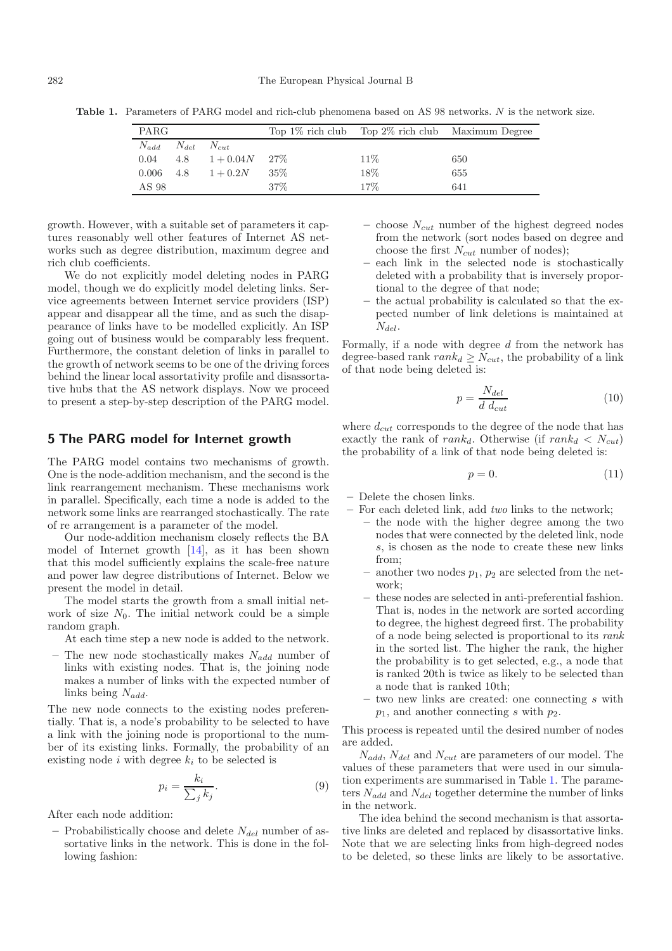| PARG                          |                 |        | Top $1\%$ rich club Top $2\%$ rich club Maximum Degree |     |
|-------------------------------|-----------------|--------|--------------------------------------------------------|-----|
| $N_{add}$ $N_{del}$ $N_{cut}$ |                 |        |                                                        |     |
| 0.04                          | 4.8 $1 + 0.04N$ | 27%    | 11%                                                    | 650 |
| $0.006$ 4.8                   | $1 + 0.2N$      | $35\%$ | 18%                                                    | 655 |
| AS 98                         |                 | 37%    | 17%                                                    | 641 |

<span id="page-7-0"></span>**Table 1.** Parameters of PARG model and rich-club phenomena based on AS 98 networks. <sup>N</sup> is the network size.

growth. However, with a suitable set of parameters it captures reasonably well other features of Internet AS networks such as degree distribution, maximum degree and rich club coefficients.

We do not explicitly model deleting nodes in PARG model, though we do explicitly model deleting links. Service agreements between Internet service providers (ISP) appear and disappear all the time, and as such the disappearance of links have to be modelled explicitly. An ISP going out of business would be comparably less frequent. Furthermore, the constant deletion of links in parallel to the growth of network seems to be one of the driving forces behind the linear local assortativity profile and disassortative hubs that the AS network displays. Now we proceed to present a step-by-step description of the PARG model.

## **5 The PARG model for Internet growth**

The PARG model contains two mechanisms of growth. One is the node-addition mechanism, and the second is the link rearrangement mechanism. These mechanisms work in parallel. Specifically, each time a node is added to the network some links are rearranged stochastically. The rate of re arrangement is a parameter of the model.

Our node-addition mechanism closely reflects the BA model of Internet growth [\[14\]](#page-10-8), as it has been shown that this model sufficiently explains the scale-free nature and power law degree distributions of Internet. Below we present the model in detail.

The model starts the growth from a small initial network of size  $N_0$ . The initial network could be a simple random graph.

At each time step a new node is added to the network.

– The new node stochastically makes  $N_{add}$  number of links with existing nodes. That is, the joining node makes a number of links with the expected number of links being  $N_{add}$ .

The new node connects to the existing nodes preferentially. That is, a node's probability to be selected to have a link with the joining node is proportional to the number of its existing links. Formally, the probability of an existing node i with degree  $k_i$  to be selected is

$$
p_i = \frac{k_i}{\sum_j k_j}.\tag{9}
$$

After each node addition:

 $-$  Probabilistically choose and delete  $N_{del}$  number of assortative links in the network. This is done in the following fashion:

- $-$  choose  $N_{cut}$  number of the highest degreed nodes from the network (sort nodes based on degree and choose the first  $N_{cut}$  number of nodes);
- **–** each link in the selected node is stochastically deleted with a probability that is inversely proportional to the degree of that node;
- **–** the actual probability is calculated so that the expected number of link deletions is maintained at  $N_{del}$ .

Formally, if a node with degree  $d$  from the network has degree-based rank  $rank_d \geq N_{cut}$ , the probability of a link of that node being deleted is:

$$
p = \frac{N_{del}}{d \ d_{cut}} \tag{10}
$$

where  $d_{cut}$  corresponds to the degree of the node that has exactly the rank of *rank<sub>d</sub>*. Otherwise (if *rank<sub>d</sub>* <  $N_{cut}$ ) the probability of a link of that node being deleted is:

$$
p = 0.\t(11)
$$

- **–** Delete the chosen links.
- **–** For each deleted link, add *two* links to the network;
	- **–** the node with the higher degree among the two nodes that were connected by the deleted link, node s, is chosen as the node to create these new links from;
	- $-$  another two nodes  $p_1, p_2$  are selected from the network;
	- **–** these nodes are selected in anti-preferential fashion. That is, nodes in the network are sorted according to degree, the highest degreed first. The probability of a node being selected is proportional to its *rank* in the sorted list. The higher the rank, the higher the probability is to get selected, e.g., a node that is ranked 20th is twice as likely to be selected than a node that is ranked 10th;
	- **–** two new links are created: one connecting s with  $p_1$ , and another connecting s with  $p_2$ .

This process is repeated until the desired number of nodes are added.

 $N_{add}$ ,  $N_{del}$  and  $N_{cut}$  are parameters of our model. The values of these parameters that were used in our simulation experiments are summarised in Table [1.](#page-7-0) The parameters  $N_{add}$  and  $N_{del}$  together determine the number of links in the network.

The idea behind the second mechanism is that assortative links are deleted and replaced by disassortative links. Note that we are selecting links from high-degreed nodes to be deleted, so these links are likely to be assortative.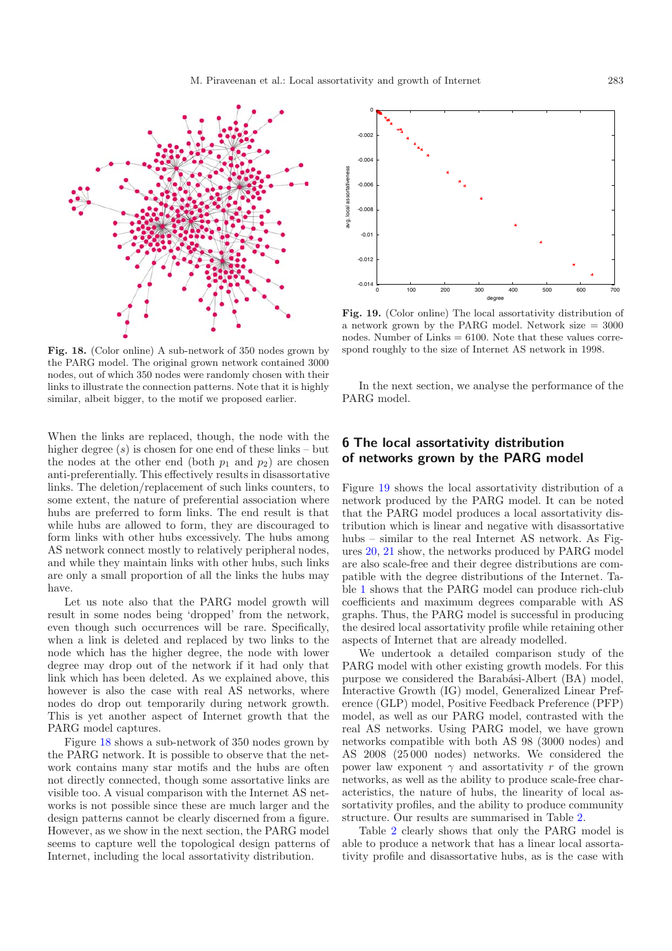<span id="page-8-0"></span>

**Fig. 18.** (Color online) A sub-network of 350 nodes grown by the PARG model. The original grown network contained 3000 nodes, out of which 350 nodes were randomly chosen with their links to illustrate the connection patterns. Note that it is highly similar, albeit bigger, to the motif we proposed earlier.

When the links are replaced, though, the node with the higher degree  $(s)$  is chosen for one end of these links – but the nodes at the other end (both  $p_1$  and  $p_2$ ) are chosen anti-preferentially. This effectively results in disassortative links. The deletion/replacement of such links counters, to some extent, the nature of preferential association where hubs are preferred to form links. The end result is that while hubs are allowed to form, they are discouraged to form links with other hubs excessively. The hubs among AS network connect mostly to relatively peripheral nodes, and while they maintain links with other hubs, such links are only a small proportion of all the links the hubs may have.

Let us note also that the PARG model growth will result in some nodes being 'dropped' from the network, even though such occurrences will be rare. Specifically, when a link is deleted and replaced by two links to the node which has the higher degree, the node with lower degree may drop out of the network if it had only that link which has been deleted. As we explained above, this however is also the case with real AS networks, where nodes do drop out temporarily during network growth. This is yet another aspect of Internet growth that the PARG model captures.

Figure [18](#page-8-0) shows a sub-network of 350 nodes grown by the PARG network. It is possible to observe that the network contains many star motifs and the hubs are often not directly connected, though some assortative links are visible too. A visual comparison with the Internet AS networks is not possible since these are much larger and the design patterns cannot be clearly discerned from a figure. However, as we show in the next section, the PARG model seems to capture well the topological design patterns of Internet, including the local assortativity distribution.

<span id="page-8-1"></span>

**Fig. 19.** (Color online) The local assortativity distribution of a network grown by the PARG model. Network size = 3000 nodes. Number of Links  $= 6100$ . Note that these values correspond roughly to the size of Internet AS network in 1998.

In the next section, we analyse the performance of the PARG model.

# **6 The local assortativity distribution of networks grown by the PARG model**

Figure [19](#page-8-1) shows the local assortativity distribution of a network produced by the PARG model. It can be noted that the PARG model produces a local assortativity distribution which is linear and negative with disassortative hubs – similar to the real Internet AS network. As Figures [20,](#page-9-0) [21](#page-9-1) show, the networks produced by PARG model are also scale-free and their degree distributions are compatible with the degree distributions of the Internet. Table [1](#page-7-0) shows that the PARG model can produce rich-club coefficients and maximum degrees comparable with AS graphs. Thus, the PARG model is successful in producing the desired local assortativity profile while retaining other aspects of Internet that are already modelled.

We undertook a detailed comparison study of the PARG model with other existing growth models. For this purpose we considered the Barabási-Albert (BA) model, Interactive Growth (IG) model, Generalized Linear Preference (GLP) model, Positive Feedback Preference (PFP) model, as well as our PARG model, contrasted with the real AS networks. Using PARG model, we have grown networks compatible with both AS 98 (3000 nodes) and AS 2008 (25 000 nodes) networks. We considered the power law exponent  $\gamma$  and assortativity r of the grown networks, as well as the ability to produce scale-free characteristics, the nature of hubs, the linearity of local assortativity profiles, and the ability to produce community structure. Our results are summarised in Table [2.](#page-9-2)

Table [2](#page-9-2) clearly shows that only the PARG model is able to produce a network that has a linear local assortativity profile and disassortative hubs, as is the case with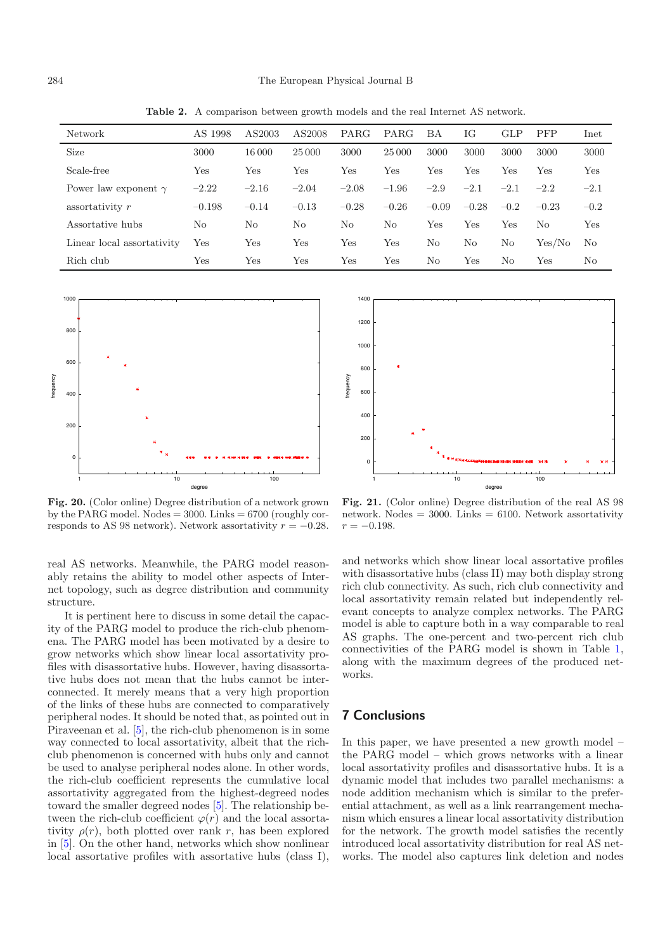| Network                     | AS 1998  | AS2003       | AS2008  | PARG    | <b>PARG</b> | ΒA           | ΙG      | <b>GLP</b>   | <b>PFP</b>   | Inet   |
|-----------------------------|----------|--------------|---------|---------|-------------|--------------|---------|--------------|--------------|--------|
| <b>Size</b>                 | 3000     | 16 000       | 25 000  | 3000    | 25 000      | 3000         | 3000    | 3000         | 3000         | 3000   |
| Scale-free                  | Yes      | $_{\rm Yes}$ | Yes     | Yes     | Yes         | $_{\rm Yes}$ | Yes     | $_{\rm Yes}$ | $_{\rm Yes}$ | Yes    |
| Power law exponent $\gamma$ | $-2.22$  | $-2.16$      | $-2.04$ | $-2.08$ | $-1.96$     | $-2.9$       | $-2.1$  | $-2.1$       | $-2.2$       | $-2.1$ |
| assortativity $r$           | $-0.198$ | $-0.14$      | $-0.13$ | $-0.28$ | $-0.26$     | $-0.09$      | $-0.28$ | $-0.2$       | $-0.23$      | $-0.2$ |
| Assortative hubs            | No       | No           | No      | No      | No          | $_{\rm Yes}$ | Yes     | Yes          | No           | Yes    |
| Linear local assortativity  | Yes      | $_{\rm Yes}$ | Yes     | Yes     | Yes         | No           | No      | $\rm No$     | Yes/No       | No     |
| Rich club                   | Yes      | Yes          | Yes     | Yes     | Yes         | No           | Yes     | $\rm No$     | Yes          | No     |

<span id="page-9-2"></span>**Table 2.** A comparison between growth models and the real Internet AS network.

<span id="page-9-0"></span>

**Fig. 20.** (Color online) Degree distribution of a network grown by the PARG model. Nodes  $= 3000$ . Links  $= 6700$  (roughly corresponds to AS 98 network). Network assortativity  $r = -0.28$ .

real AS networks. Meanwhile, the PARG model reasonably retains the ability to model other aspects of Internet topology, such as degree distribution and community structure.

It is pertinent here to discuss in some detail the capacity of the PARG model to produce the rich-club phenomena. The PARG model has been motivated by a desire to grow networks which show linear local assortativity profiles with disassortative hubs. However, having disassortative hubs does not mean that the hubs cannot be interconnected. It merely means that a very high proportion of the links of these hubs are connected to comparatively peripheral nodes. It should be noted that, as pointed out in Piraveenan et al. [\[5](#page-10-6)], the rich-club phenomenon is in some way connected to local assortativity, albeit that the richclub phenomenon is concerned with hubs only and cannot be used to analyse peripheral nodes alone. In other words, the rich-club coefficient represents the cumulative local assortativity aggregated from the highest-degreed nodes toward the smaller degreed nodes [\[5](#page-10-6)]. The relationship between the rich-club coefficient  $\varphi(r)$  and the local assortativity  $\rho(r)$ , both plotted over rank r, has been explored in [\[5](#page-10-6)]. On the other hand, networks which show nonlinear local assortative profiles with assortative hubs (class I),

<span id="page-9-1"></span>

**Fig. 21.** (Color online) Degree distribution of the real AS 98 network. Nodes  $= 3000$ . Links  $= 6100$ . Network assortativity  $r = -0.198$ .

and networks which show linear local assortative profiles with disassortative hubs (class II) may both display strong rich club connectivity. As such, rich club connectivity and local assortativity remain related but independently relevant concepts to analyze complex networks. The PARG model is able to capture both in a way comparable to real AS graphs. The one-percent and two-percent rich club connectivities of the PARG model is shown in Table [1,](#page-7-0) along with the maximum degrees of the produced networks.

# **7 Conclusions**

In this paper, we have presented a new growth model – the PARG model – which grows networks with a linear local assortativity profiles and disassortative hubs. It is a dynamic model that includes two parallel mechanisms: a node addition mechanism which is similar to the preferential attachment, as well as a link rearrangement mechanism which ensures a linear local assortativity distribution for the network. The growth model satisfies the recently introduced local assortativity distribution for real AS networks. The model also captures link deletion and nodes